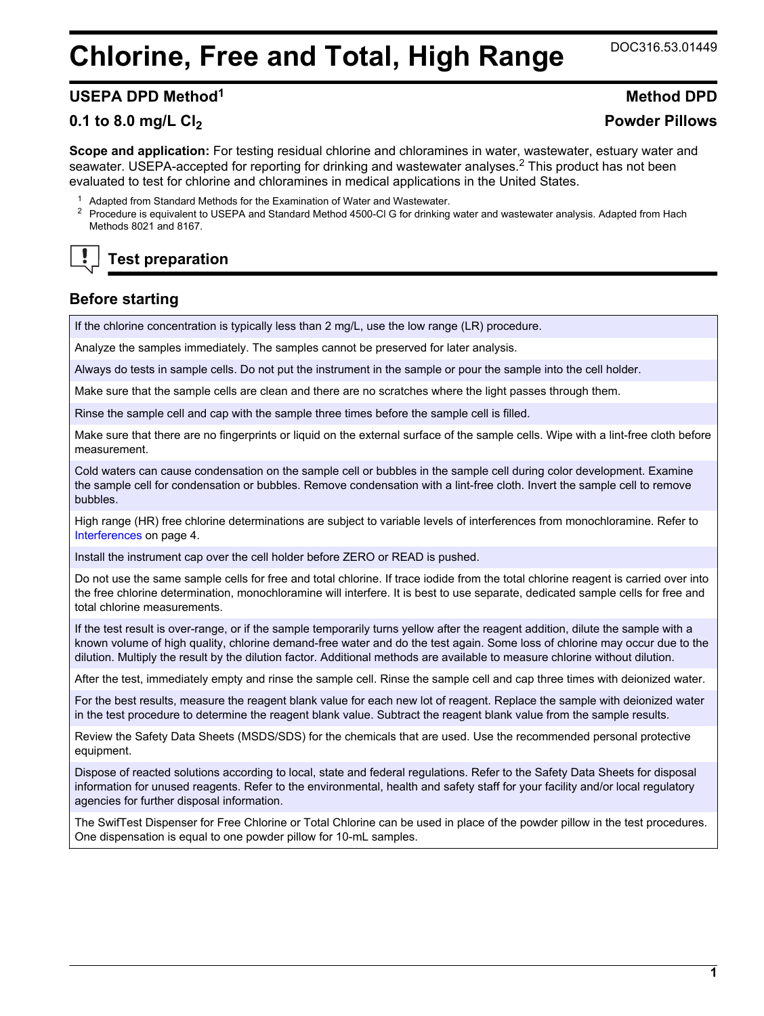# **Chlorine, Free and Total, High Range** DOC316.53.01449

#### **USEPA DPD Method<sup>1</sup> Method DPD**

#### **0.1 to 8.0 mg/L Cl<sup>2</sup> Powder Pillows**

**Scope and application:** For testing residual chlorine and chloramines in water, wastewater, estuary water and seawater. USEPA-accepted for reporting for drinking and wastewater analyses.<sup>2</sup> This product has not been evaluated to test for chlorine and chloramines in medical applications in the United States.

- <sup>1</sup> Adapted from Standard Methods for the Examination of Water and Wastewater.
- <sup>2</sup> Procedure is equivalent to USEPA and Standard Method 4500-Cl G for drinking water and wastewater analysis. Adapted from Hach Methods 8021 and 8167.

## **Test preparation**

#### **Before starting**

If the chlorine concentration is typically less than 2 mg/L, use the low range (LR) procedure.

Analyze the samples immediately. The samples cannot be preserved for later analysis.

Always do tests in sample cells. Do not put the instrument in the sample or pour the sample into the cell holder.

Make sure that the sample cells are clean and there are no scratches where the light passes through them.

Rinse the sample cell and cap with the sample three times before the sample cell is filled.

Make sure that there are no fingerprints or liquid on the external surface of the sample cells. Wipe with a lint-free cloth before measurement.

Cold waters can cause condensation on the sample cell or bubbles in the sample cell during color development. Examine the sample cell for condensation or bubbles. Remove condensation with a lint-free cloth. Invert the sample cell to remove bubbles.

High range (HR) free chlorine determinations are subject to variable levels of interferences from monochloramine. Refer to [Interferences](#page-3-0) on page 4.

Install the instrument cap over the cell holder before ZERO or READ is pushed.

Do not use the same sample cells for free and total chlorine. If trace iodide from the total chlorine reagent is carried over into the free chlorine determination, monochloramine will interfere. It is best to use separate, dedicated sample cells for free and total chlorine measurements.

If the test result is over-range, or if the sample temporarily turns yellow after the reagent addition, dilute the sample with a known volume of high quality, chlorine demand-free water and do the test again. Some loss of chlorine may occur due to the dilution. Multiply the result by the dilution factor. Additional methods are available to measure chlorine without dilution.

After the test, immediately empty and rinse the sample cell. Rinse the sample cell and cap three times with deionized water.

For the best results, measure the reagent blank value for each new lot of reagent. Replace the sample with deionized water in the test procedure to determine the reagent blank value. Subtract the reagent blank value from the sample results.

Review the Safety Data Sheets (MSDS/SDS) for the chemicals that are used. Use the recommended personal protective equipment.

Dispose of reacted solutions according to local, state and federal regulations. Refer to the Safety Data Sheets for disposal information for unused reagents. Refer to the environmental, health and safety staff for your facility and/or local regulatory agencies for further disposal information.

The SwifTest Dispenser for Free Chlorine or Total Chlorine can be used in place of the powder pillow in the test procedures. One dispensation is equal to one powder pillow for 10-mL samples.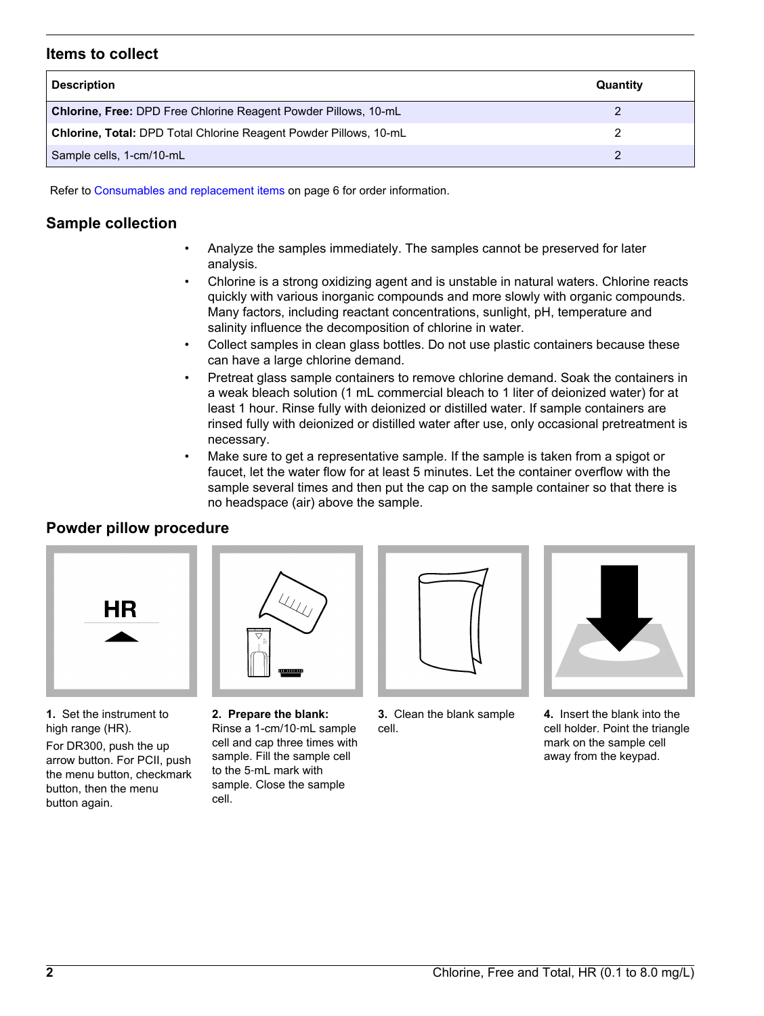#### **Items to collect**

| <b>Description</b>                                                | Quantity |
|-------------------------------------------------------------------|----------|
| Chlorine, Free: DPD Free Chlorine Reagent Powder Pillows, 10-mL   |          |
| Chlorine, Total: DPD Total Chlorine Reagent Powder Pillows, 10-mL |          |
| Sample cells, 1-cm/10-mL                                          |          |

Refer to [Consumables and replacement items](#page-5-0) on page 6 for order information.

### **Sample collection**

- Analyze the samples immediately. The samples cannot be preserved for later analysis.
- Chlorine is a strong oxidizing agent and is unstable in natural waters. Chlorine reacts quickly with various inorganic compounds and more slowly with organic compounds. Many factors, including reactant concentrations, sunlight, pH, temperature and salinity influence the decomposition of chlorine in water.
- Collect samples in clean glass bottles. Do not use plastic containers because these can have a large chlorine demand.
- Pretreat glass sample containers to remove chlorine demand. Soak the containers in a weak bleach solution (1 mL commercial bleach to 1 liter of deionized water) for at least 1 hour. Rinse fully with deionized or distilled water. If sample containers are rinsed fully with deionized or distilled water after use, only occasional pretreatment is necessary.
- Make sure to get a representative sample. If the sample is taken from a spigot or faucet, let the water flow for at least 5 minutes. Let the container overflow with the sample several times and then put the cap on the sample container so that there is no headspace (air) above the sample.

### **Powder pillow procedure**



**1.** Set the instrument to high range (HR).

For DR300, push the up arrow button. For PCII, push the menu button, checkmark button, then the menu button again.



**2. Prepare the blank:** Rinse a 1-cm/10‑mL sample cell and cap three times with sample. Fill the sample cell to the 5‑mL mark with sample. Close the sample cell.



**3.** Clean the blank sample cell.



**4.** Insert the blank into the cell holder. Point the triangle mark on the sample cell away from the keypad.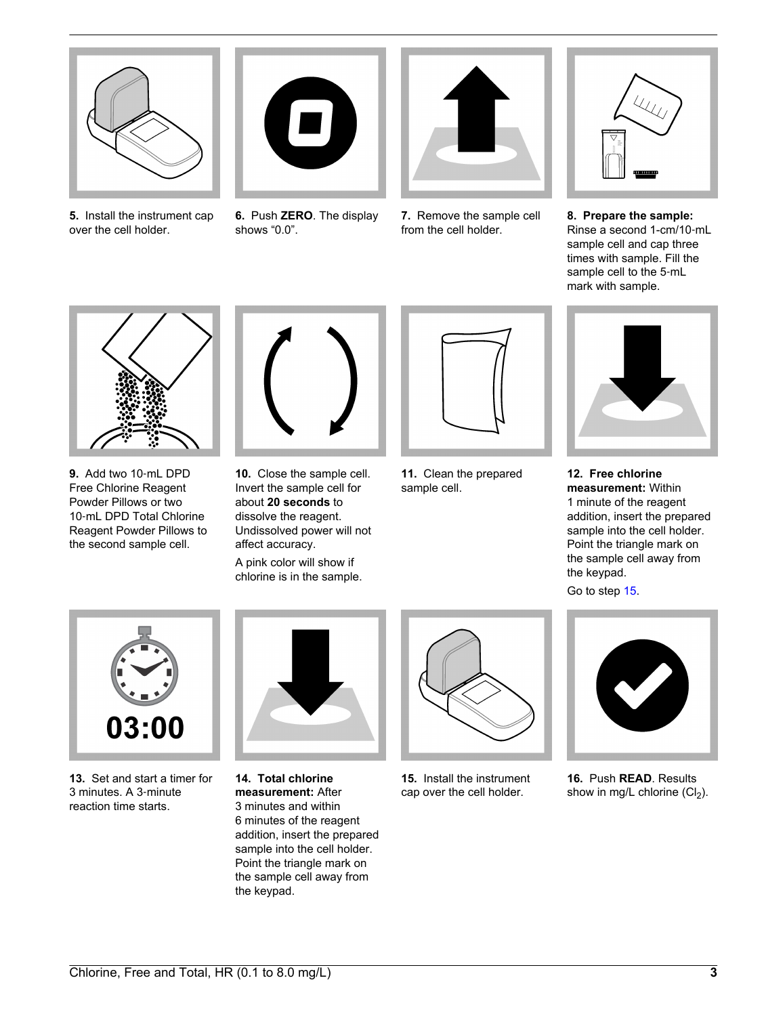

**5.** Install the instrument cap over the cell holder.



**6.** Push **ZERO**. The display shows "0.0".



**7.** Remove the sample cell from the cell holder.



**8. Prepare the sample:** Rinse a second 1-cm/10‑mL sample cell and cap three times with sample. Fill the sample cell to the 5‑mL mark with sample.



**9.** Add two 10‑mL DPD Free Chlorine Reagent Powder Pillows or two 10-mL DPD Total Chlorine Reagent Powder Pillows to the second sample cell.



**10.** Close the sample cell. Invert the sample cell for about **20 seconds** to dissolve the reagent. Undissolved power will not affect accuracy.

A pink color will show if chlorine is in the sample.



**11.** Clean the prepared sample cell.



**12. Free chlorine measurement:** Within 1 minute of the reagent addition, insert the prepared sample into the cell holder. Point the triangle mark on the sample cell away from the keypad.

Go to step [15](#page-2-0).

<span id="page-2-0"></span>

**13.** Set and start a timer for 3 minutes. A 3‑minute reaction time starts.



**14. Total chlorine measurement:** After 3 minutes and within 6 minutes of the reagent addition, insert the prepared sample into the cell holder. Point the triangle mark on the sample cell away from the keypad.



**15.** Install the instrument cap over the cell holder.



**16.** Push **READ**. Results show in mg/L chlorine  $(Cl<sub>2</sub>)$ .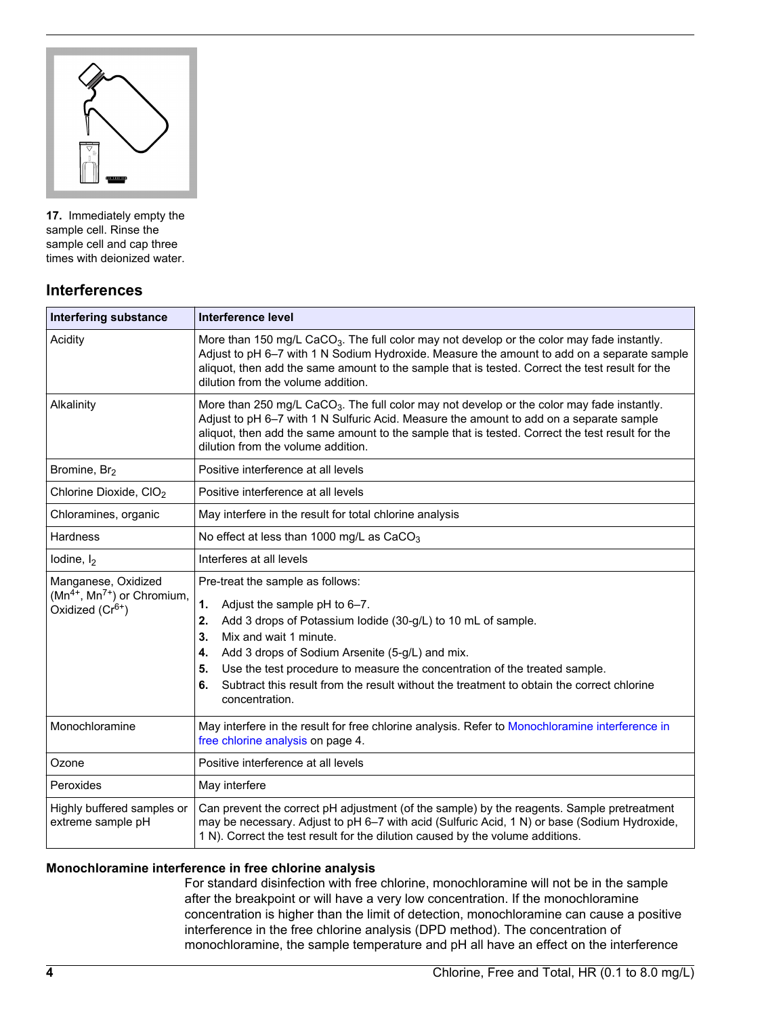

**17.** Immediately empty the sample cell. Rinse the sample cell and cap three times with deionized water.

#### **Interferences**

<span id="page-3-0"></span>

| <b>Interfering substance</b>                                                     | Interference level                                                                                                                                                                                                                                                                                                                                                                                                                             |
|----------------------------------------------------------------------------------|------------------------------------------------------------------------------------------------------------------------------------------------------------------------------------------------------------------------------------------------------------------------------------------------------------------------------------------------------------------------------------------------------------------------------------------------|
| Acidity                                                                          | More than 150 mg/L CaCO <sub>3</sub> . The full color may not develop or the color may fade instantly.<br>Adjust to pH 6-7 with 1 N Sodium Hydroxide. Measure the amount to add on a separate sample<br>aliquot, then add the same amount to the sample that is tested. Correct the test result for the<br>dilution from the volume addition.                                                                                                  |
| Alkalinity                                                                       | More than 250 mg/L CaCO <sub>3</sub> . The full color may not develop or the color may fade instantly.<br>Adjust to pH 6-7 with 1 N Sulfuric Acid. Measure the amount to add on a separate sample<br>aliquot, then add the same amount to the sample that is tested. Correct the test result for the<br>dilution from the volume addition.                                                                                                     |
| Bromine, Br <sub>2</sub>                                                         | Positive interference at all levels                                                                                                                                                                                                                                                                                                                                                                                                            |
| Chlorine Dioxide, CIO <sub>2</sub>                                               | Positive interference at all levels                                                                                                                                                                                                                                                                                                                                                                                                            |
| Chloramines, organic                                                             | May interfere in the result for total chlorine analysis                                                                                                                                                                                                                                                                                                                                                                                        |
| <b>Hardness</b>                                                                  | No effect at less than 1000 mg/L as CaCO <sub>3</sub>                                                                                                                                                                                                                                                                                                                                                                                          |
| lodine, $I_2$                                                                    | Interferes at all levels                                                                                                                                                                                                                                                                                                                                                                                                                       |
| Manganese, Oxidized<br>$(Mn^{4+}, Mn^{7+})$ or Chromium,<br>Oxidized $(Cr^{6+})$ | Pre-treat the sample as follows:<br>1.<br>Adjust the sample pH to 6-7.<br>Add 3 drops of Potassium lodide (30-g/L) to 10 mL of sample.<br>2.<br>Mix and wait 1 minute.<br>3.<br>Add 3 drops of Sodium Arsenite (5-g/L) and mix.<br>4.<br>Use the test procedure to measure the concentration of the treated sample.<br>5.<br>Subtract this result from the result without the treatment to obtain the correct chlorine<br>6.<br>concentration. |
| Monochloramine                                                                   | May interfere in the result for free chlorine analysis. Refer to Monochloramine interference in<br>free chlorine analysis on page 4.                                                                                                                                                                                                                                                                                                           |
| Ozone                                                                            | Positive interference at all levels                                                                                                                                                                                                                                                                                                                                                                                                            |
| Peroxides                                                                        | May interfere                                                                                                                                                                                                                                                                                                                                                                                                                                  |
| Highly buffered samples or<br>extreme sample pH                                  | Can prevent the correct pH adjustment (of the sample) by the reagents. Sample pretreatment<br>may be necessary. Adjust to pH 6-7 with acid (Sulfuric Acid, 1 N) or base (Sodium Hydroxide,<br>1 N). Correct the test result for the dilution caused by the volume additions.                                                                                                                                                                   |

#### <span id="page-3-1"></span>**Monochloramine interference in free chlorine analysis**

For standard disinfection with free chlorine, monochloramine will not be in the sample after the breakpoint or will have a very low concentration. If the monochloramine concentration is higher than the limit of detection, monochloramine can cause a positive interference in the free chlorine analysis (DPD method). The concentration of monochloramine, the sample temperature and pH all have an effect on the interference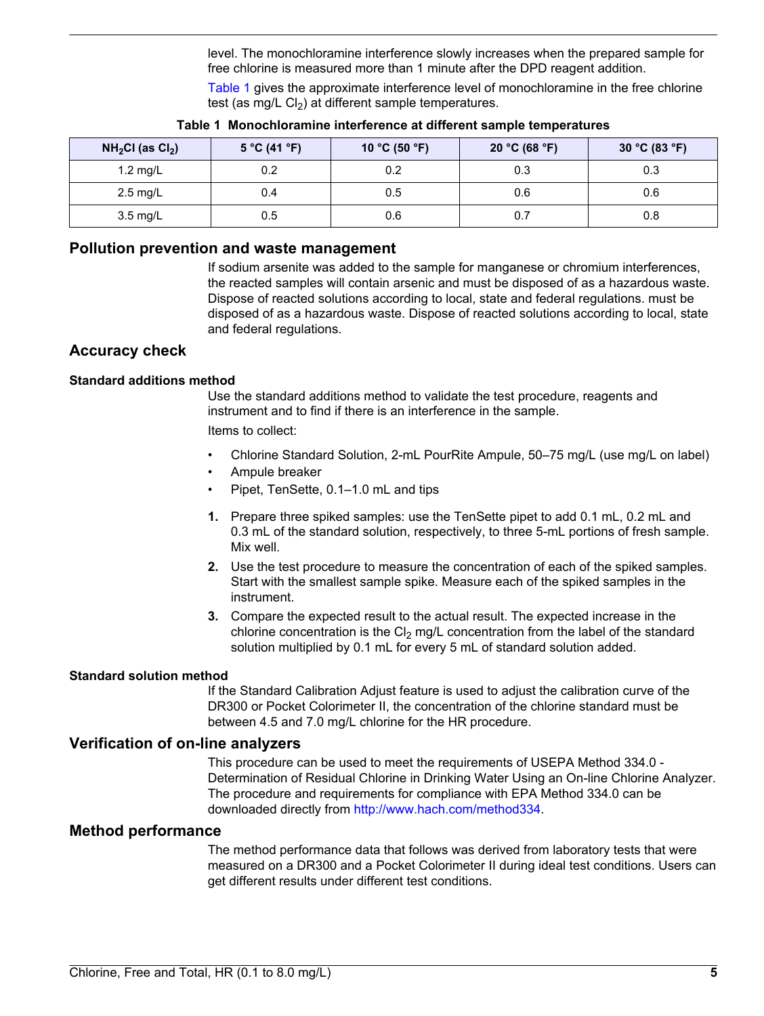level. The monochloramine interference slowly increases when the prepared sample for free chlorine is measured more than 1 minute after the DPD reagent addition.

[Table 1](#page-4-0) gives the approximate interference level of monochloramine in the free chlorine test (as mg/L  $Cl<sub>2</sub>$ ) at different sample temperatures.

<span id="page-4-0"></span>

| $NH2Cl$ (as $Cl2$ ) | 5 °C (41 °F) | 10 °C (50 °F) | 20 °C (68 °F) | 30 °C (83 °F) |
|---------------------|--------------|---------------|---------------|---------------|
| $1.2$ mg/L          | 0.2          | 0.2           | 0.3           | 0.3           |
| $2.5 \text{ mg/L}$  | 0.4          | 0.5           | 0.6           | 0.6           |
| $3.5 \text{ mg/L}$  | 0.5          | 0.6           | 0.7           | 0.8           |

#### **Table 1 Monochloramine interference at different sample temperatures**

#### **Pollution prevention and waste management**

If sodium arsenite was added to the sample for manganese or chromium interferences, the reacted samples will contain arsenic and must be disposed of as a hazardous waste. Dispose of reacted solutions according to local, state and federal regulations. must be disposed of as a hazardous waste. Dispose of reacted solutions according to local, state and federal regulations.

#### **Accuracy check**

#### **Standard additions method**

Use the standard additions method to validate the test procedure, reagents and instrument and to find if there is an interference in the sample.

Items to collect:

- Chlorine Standard Solution, 2-mL PourRite Ampule, 50–75 mg/L (use mg/L on label)
- Ampule breaker
- Pipet, TenSette, 0.1–1.0 mL and tips
- **1.** Prepare three spiked samples: use the TenSette pipet to add 0.1 mL, 0.2 mL and 0.3 mL of the standard solution, respectively, to three 5-mL portions of fresh sample. Mix well.
- **2.** Use the test procedure to measure the concentration of each of the spiked samples. Start with the smallest sample spike. Measure each of the spiked samples in the instrument.
- **3.** Compare the expected result to the actual result. The expected increase in the chlorine concentration is the  $Cl<sub>2</sub>$  mg/L concentration from the label of the standard solution multiplied by 0.1 mL for every 5 mL of standard solution added.

#### **Standard solution method**

If the Standard Calibration Adjust feature is used to adjust the calibration curve of the DR300 or Pocket Colorimeter II, the concentration of the chlorine standard must be between 4.5 and 7.0 mg/L chlorine for the HR procedure.

#### **Verification of on-line analyzers**

This procedure can be used to meet the requirements of USEPA Method 334.0 - Determination of Residual Chlorine in Drinking Water Using an On-line Chlorine Analyzer. The procedure and requirements for compliance with EPA Method 334.0 can be downloaded directly from [http://www.hach.com/method334.](http://www.hach.com/method334)

#### **Method performance**

The method performance data that follows was derived from laboratory tests that were measured on a DR300 and a Pocket Colorimeter II during ideal test conditions. Users can get different results under different test conditions.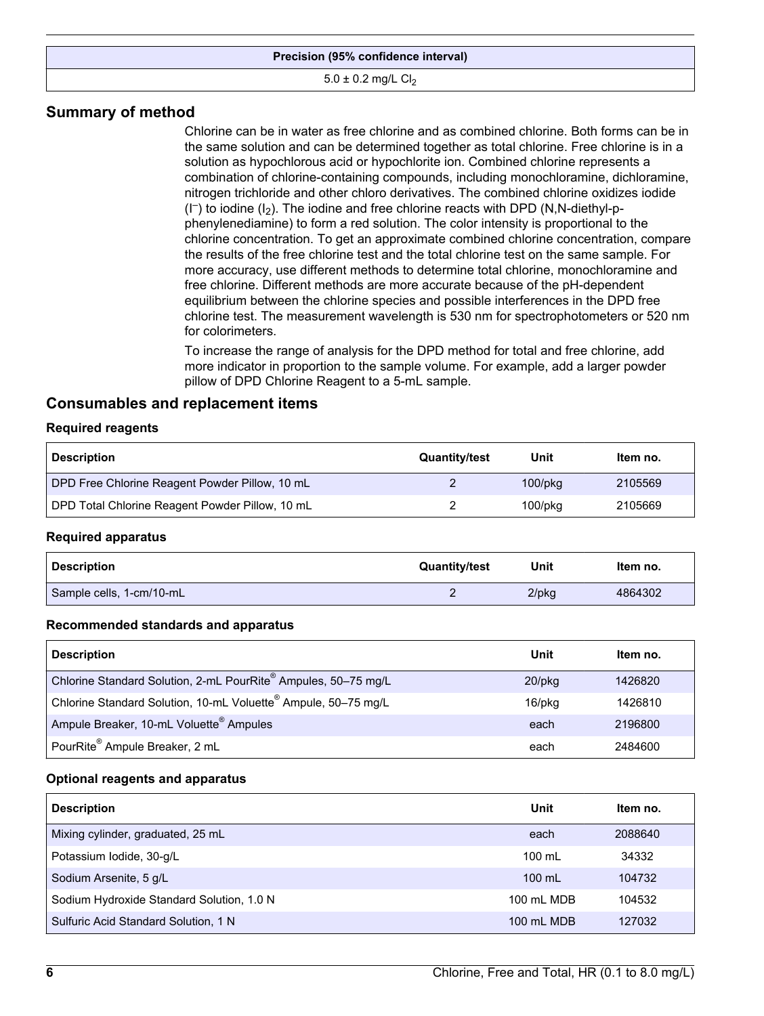#### **Precision (95% confidence interval)**

#### $5.0 \pm 0.2$  mg/L Cl<sub>2</sub>

#### **Summary of method**

Chlorine can be in water as free chlorine and as combined chlorine. Both forms can be in the same solution and can be determined together as total chlorine. Free chlorine is in a solution as hypochlorous acid or hypochlorite ion. Combined chlorine represents a combination of chlorine-containing compounds, including monochloramine, dichloramine, nitrogen trichloride and other chloro derivatives. The combined chlorine oxidizes iodide  $(I^-)$  to iodine  $(I_2)$ . The iodine and free chlorine reacts with DPD (N,N-diethyl-pphenylenediamine) to form a red solution. The color intensity is proportional to the chlorine concentration. To get an approximate combined chlorine concentration, compare the results of the free chlorine test and the total chlorine test on the same sample. For more accuracy, use different methods to determine total chlorine, monochloramine and free chlorine. Different methods are more accurate because of the pH-dependent equilibrium between the chlorine species and possible interferences in the DPD free chlorine test. The measurement wavelength is 530 nm for spectrophotometers or 520 nm for colorimeters.

To increase the range of analysis for the DPD method for total and free chlorine, add more indicator in proportion to the sample volume. For example, add a larger powder pillow of DPD Chlorine Reagent to a 5-mL sample.

#### <span id="page-5-0"></span>**Consumables and replacement items**

#### **Required reagents**

| <b>Description</b>                              | <b>Quantity/test</b> | Unit          | Item no. |
|-------------------------------------------------|----------------------|---------------|----------|
| DPD Free Chlorine Reagent Powder Pillow, 10 mL  |                      | $100$ /p $ka$ | 2105569  |
| DPD Total Chlorine Reagent Powder Pillow, 10 mL |                      | $100$ /p $ka$ | 2105669  |

#### **Required apparatus**

| <b>Description</b>       | <b>Quantity/test</b> | Unit     | Item no. |
|--------------------------|----------------------|----------|----------|
| Sample cells, 1-cm/10-mL |                      | $2$ /pkg | 4864302  |

#### **Recommended standards and apparatus**

| <b>Description</b>                                                         | Unit      | Item no. |
|----------------------------------------------------------------------------|-----------|----------|
| Chlorine Standard Solution, 2-mL PourRite <sup>®</sup> Ampules, 50-75 mg/L | $20$ /pkq | 1426820  |
| Chlorine Standard Solution, 10-mL Voluette <sup>®</sup> Ampule, 50-75 mg/L | 16/pkg    | 1426810  |
| Ampule Breaker, 10-mL Voluette <sup>®</sup> Ampules                        | each      | 2196800  |
| PourRite <sup>®</sup> Ampule Breaker, 2 mL                                 | each      | 2484600  |

#### **Optional reagents and apparatus**

| <b>Description</b>                        | Unit             | Item no. |
|-------------------------------------------|------------------|----------|
| Mixing cylinder, graduated, 25 mL         | each             | 2088640  |
| Potassium Iodide, 30-g/L                  | $100 \text{ ml}$ | 34332    |
| Sodium Arsenite, 5 g/L                    | $100 \text{ ml}$ | 104732   |
| Sodium Hydroxide Standard Solution, 1.0 N | 100 mL MDB       | 104532   |
| Sulfuric Acid Standard Solution, 1 N      | 100 mL MDB       | 127032   |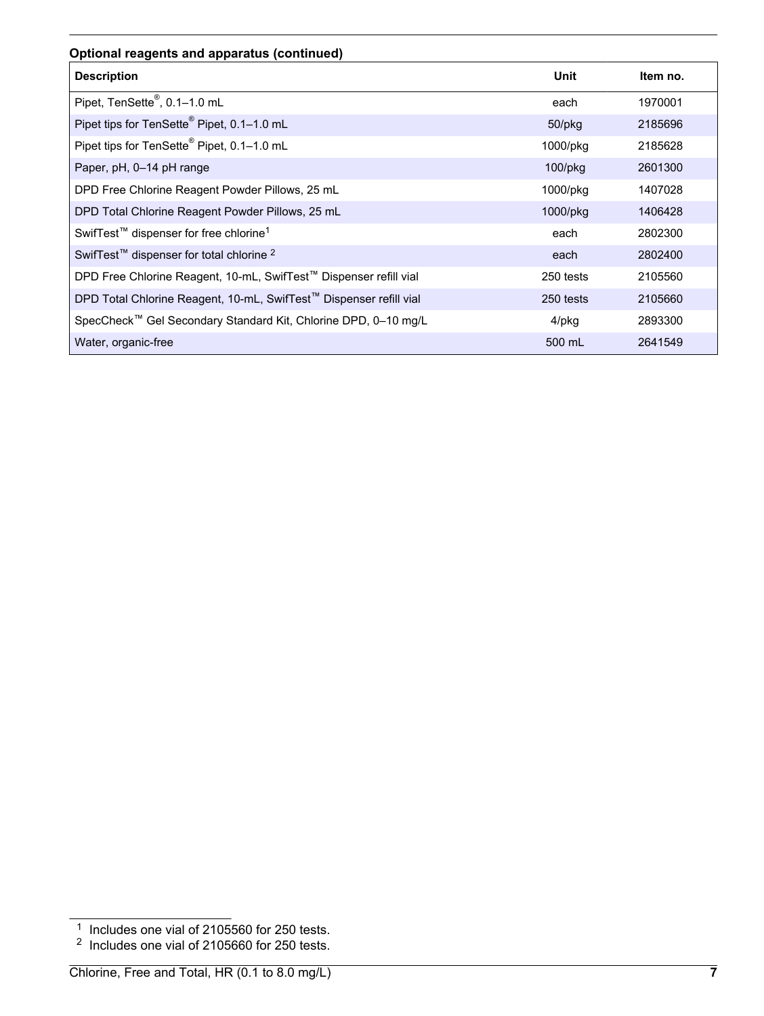#### **Optional reagents and apparatus (continued)**

| <b>Description</b>                                                 | Unit       | Item no. |
|--------------------------------------------------------------------|------------|----------|
| Pipet, TenSette®, 0.1-1.0 mL                                       | each       | 1970001  |
| Pipet tips for TenSette <sup>®</sup> Pipet, 0.1-1.0 mL             | 50/pkg     | 2185696  |
| Pipet tips for TenSette <sup>®</sup> Pipet, 0.1-1.0 mL             | 1000/pkg   | 2185628  |
| Paper, pH, 0-14 pH range                                           | $100$ /pkg | 2601300  |
| DPD Free Chlorine Reagent Powder Pillows, 25 mL                    | 1000/pkg   | 1407028  |
| DPD Total Chlorine Reagent Powder Pillows, 25 mL                   | 1000/pkg   | 1406428  |
| SwifTest <sup>™</sup> dispenser for free chlorine <sup>1</sup>     | each       | 2802300  |
| SwifTest <sup>™</sup> dispenser for total chlorine <sup>2</sup>    | each       | 2802400  |
| DPD Free Chlorine Reagent, 10-mL, SwifTest™ Dispenser refill vial  | 250 tests  | 2105560  |
| DPD Total Chlorine Reagent, 10-mL, SwifTest™ Dispenser refill vial | 250 tests  | 2105660  |
| SpecCheck™ Gel Secondary Standard Kit, Chlorine DPD, 0-10 mg/L     | 4/pkg      | 2893300  |
| Water, organic-free                                                | 500 mL     | 2641549  |

<sup>&</sup>lt;sup>1</sup> Includes one vial of 2105560 for 250 tests.

 $2$  Includes one vial of 2105660 for 250 tests.